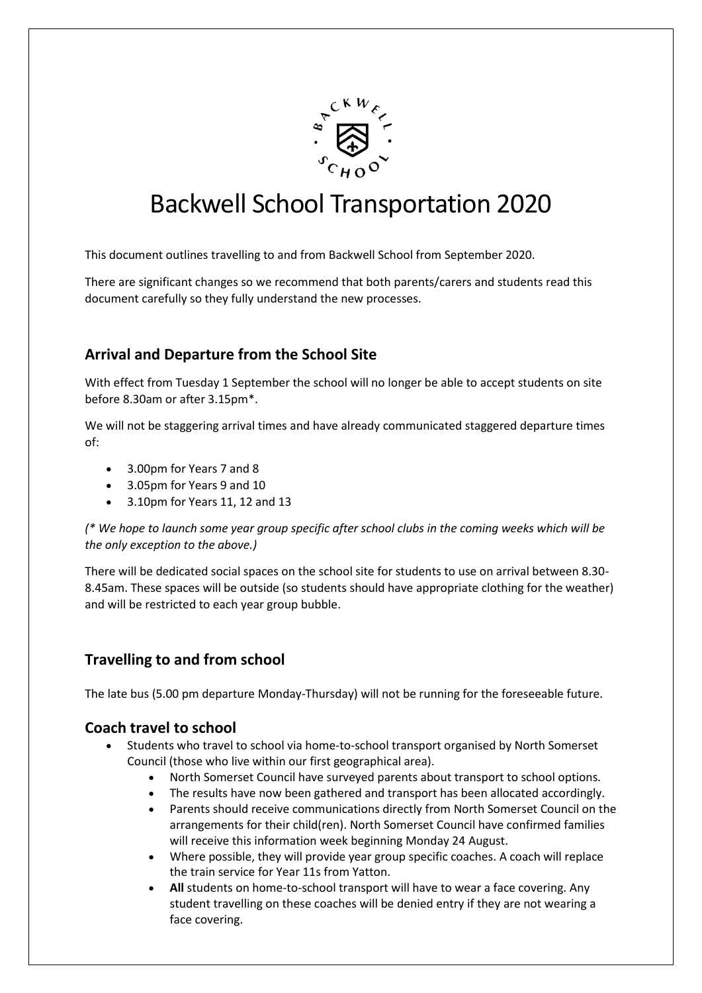

# Backwell School Transportation 2020

This document outlines travelling to and from Backwell School from September 2020.

There are significant changes so we recommend that both parents/carers and students read this document carefully so they fully understand the new processes.

# **Arrival and Departure from the School Site**

With effect from Tuesday 1 September the school will no longer be able to accept students on site before 8.30am or after 3.15pm\*.

We will not be staggering arrival times and have already communicated staggered departure times of:

- 3.00pm for Years 7 and 8
- 3.05pm for Years 9 and 10
- 3.10pm for Years 11, 12 and 13

*(\* We hope to launch some year group specific after school clubs in the coming weeks which will be the only exception to the above.)*

There will be dedicated social spaces on the school site for students to use on arrival between 8.30- 8.45am. These spaces will be outside (so students should have appropriate clothing for the weather) and will be restricted to each year group bubble.

# **Travelling to and from school**

The late bus (5.00 pm departure Monday-Thursday) will not be running for the foreseeable future.

## **Coach travel to school**

- Students who travel to school via home-to-school transport organised by North Somerset Council (those who live within our first geographical area).
	- North Somerset Council have surveyed parents about transport to school options.
	- The results have now been gathered and transport has been allocated accordingly.
	- Parents should receive communications directly from North Somerset Council on the arrangements for their child(ren). North Somerset Council have confirmed families will receive this information week beginning Monday 24 August.
	- Where possible, they will provide year group specific coaches. A coach will replace the train service for Year 11s from Yatton.
	- **All** students on home-to-school transport will have to wear a face covering. Any student travelling on these coaches will be denied entry if they are not wearing a face covering.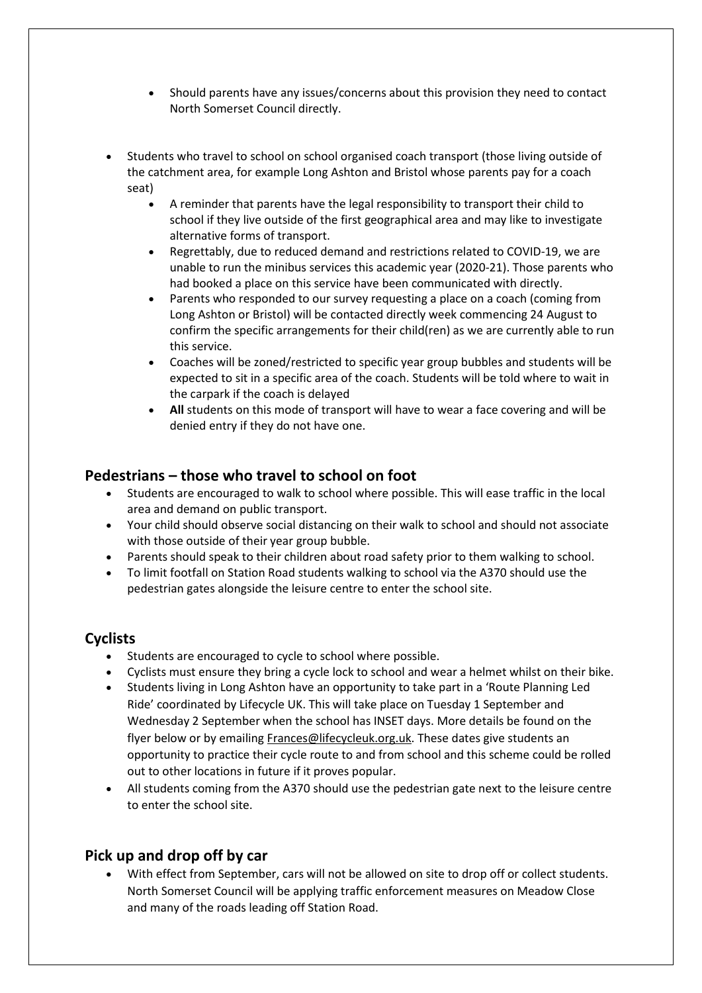- Should parents have any issues/concerns about this provision they need to contact North Somerset Council directly.
- Students who travel to school on school organised coach transport (those living outside of the catchment area, for example Long Ashton and Bristol whose parents pay for a coach seat)
	- A reminder that parents have the legal responsibility to transport their child to school if they live outside of the first geographical area and may like to investigate alternative forms of transport.
	- Regrettably, due to reduced demand and restrictions related to COVID-19, we are unable to run the minibus services this academic year (2020-21). Those parents who had booked a place on this service have been communicated with directly.
	- Parents who responded to our survey requesting a place on a coach (coming from Long Ashton or Bristol) will be contacted directly week commencing 24 August to confirm the specific arrangements for their child(ren) as we are currently able to run this service.
	- Coaches will be zoned/restricted to specific year group bubbles and students will be expected to sit in a specific area of the coach. Students will be told where to wait in the carpark if the coach is delayed
	- **All** students on this mode of transport will have to wear a face covering and will be denied entry if they do not have one.

# **Pedestrians – those who travel to school on foot**

- Students are encouraged to walk to school where possible. This will ease traffic in the local area and demand on public transport.
- Your child should observe social distancing on their walk to school and should not associate with those outside of their year group bubble.
- Parents should speak to their children about road safety prior to them walking to school.
- To limit footfall on Station Road students walking to school via the A370 should use the pedestrian gates alongside the leisure centre to enter the school site.

# **Cyclists**

- Students are encouraged to cycle to school where possible.
- Cyclists must ensure they bring a cycle lock to school and wear a helmet whilst on their bike.
- Students living in Long Ashton have an opportunity to take part in a 'Route Planning Led Ride' coordinated by Lifecycle UK. This will take place on Tuesday 1 September and Wednesday 2 September when the school has INSET days. More details be found on the flyer below or by emailin[g Frances@lifecycleuk.org.uk.](mailto:Frances@lifecycleuk.org.uk) These dates give students an opportunity to practice their cycle route to and from school and this scheme could be rolled out to other locations in future if it proves popular.
- All students coming from the A370 should use the pedestrian gate next to the leisure centre to enter the school site.

# **Pick up and drop off by car**

 With effect from September, cars will not be allowed on site to drop off or collect students. North Somerset Council will be applying traffic enforcement measures on Meadow Close and many of the roads leading off Station Road.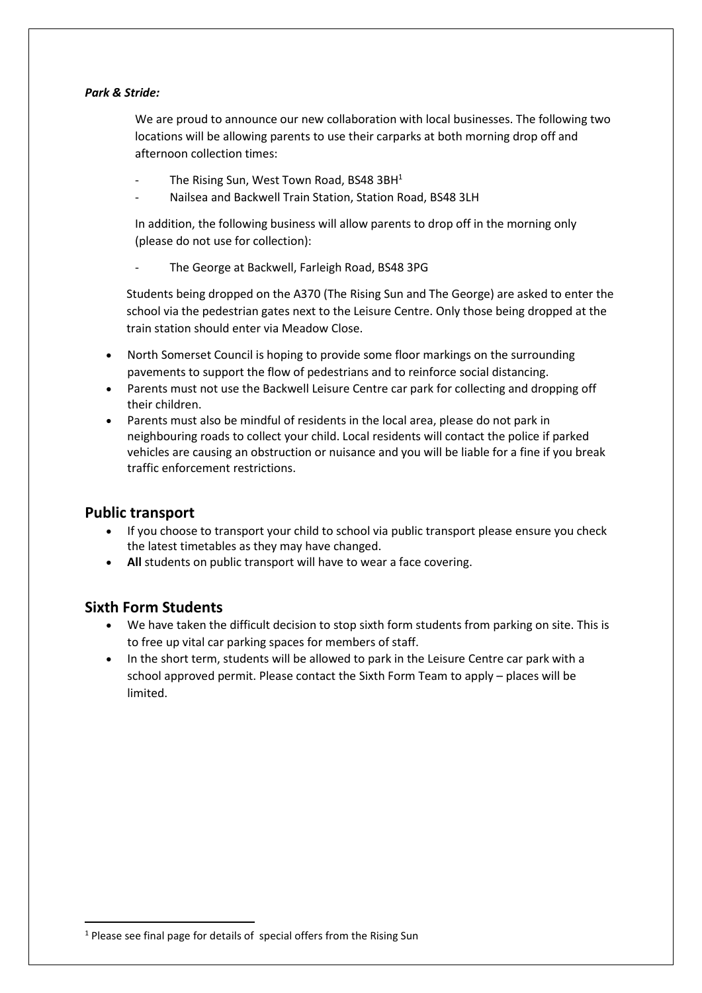#### *Park & Stride:*

We are proud to announce our new collaboration with local businesses. The following two locations will be allowing parents to use their carparks at both morning drop off and afternoon collection times:

- The Rising Sun, West Town Road, BS48 3BH $1$
- Nailsea and Backwell Train Station, Station Road, BS48 3LH

In addition, the following business will allow parents to drop off in the morning only (please do not use for collection):

The George at Backwell, Farleigh Road, BS48 3PG

Students being dropped on the A370 (The Rising Sun and The George) are asked to enter the school via the pedestrian gates next to the Leisure Centre. Only those being dropped at the train station should enter via Meadow Close.

- North Somerset Council is hoping to provide some floor markings on the surrounding pavements to support the flow of pedestrians and to reinforce social distancing.
- Parents must not use the Backwell Leisure Centre car park for collecting and dropping off their children.
- Parents must also be mindful of residents in the local area, please do not park in neighbouring roads to collect your child. Local residents will contact the police if parked vehicles are causing an obstruction or nuisance and you will be liable for a fine if you break traffic enforcement restrictions.

## **Public transport**

- If you choose to transport your child to school via public transport please ensure you check the latest timetables as they may have changed.
- **All** students on public transport will have to wear a face covering.

## **Sixth Form Students**

**.** 

- We have taken the difficult decision to stop sixth form students from parking on site. This is to free up vital car parking spaces for members of staff.
- In the short term, students will be allowed to park in the Leisure Centre car park with a school approved permit. Please contact the Sixth Form Team to apply – places will be limited.

 $1$  Please see final page for details of special offers from the Rising Sun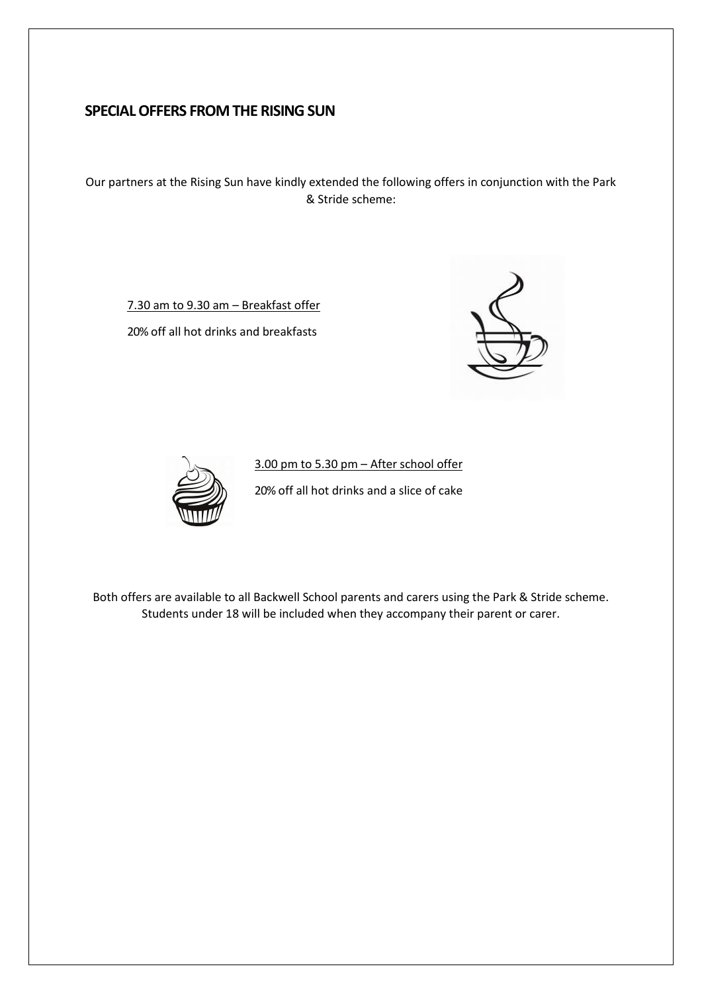# **SPECIAL OFFERS FROM THE RISING SUN**

Our partners at the Rising Sun have kindly extended the following offers in conjunction with the Park & Stride scheme:

7.30 am to 9.30 am – Breakfast offer

20% off all hot drinks and breakfasts





3.00 pm to 5.30 pm – After school offer 20% off all hot drinks and a slice of cake

Both offers are available to all Backwell School parents and carers using the Park & Stride scheme. Students under 18 will be included when they accompany their parent or carer.